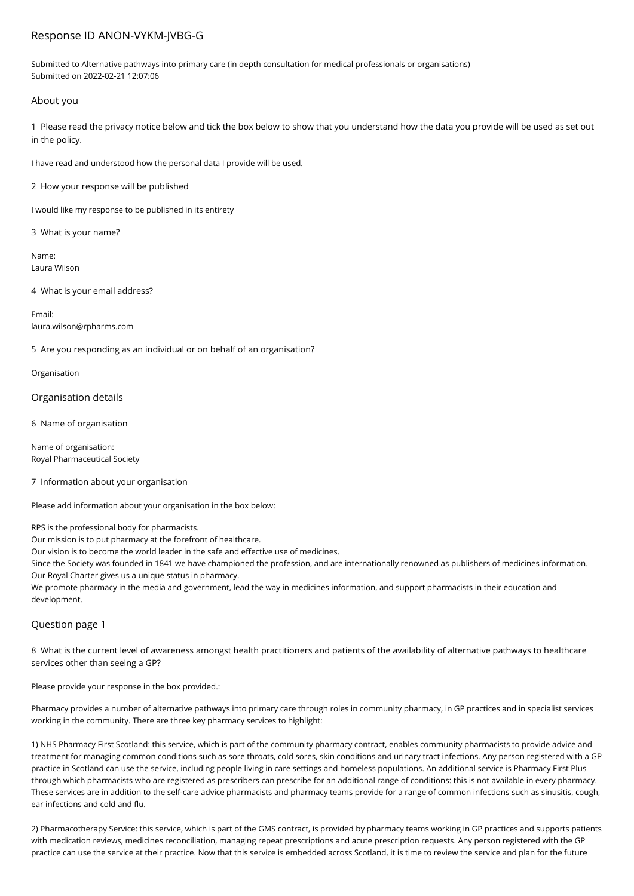# Response ID ANON-VYKM-JVBG-G

Submitted to Alternative pathways into primary care (in depth consultation for medical professionals or organisations) Submitted on 2022-02-21 12:07:06

## About you

1 Please read the privacy notice below and tick the box below to show that you understand how the data you provide will be used as set out in the policy.

I have read and understood how the personal data I provide will be used.

2 How your response will be published

I would like my response to be published in its entirety

3 What is your name?

Name: Laura Wilson

4 What is your email address?

Email: laura.wilson@rpharms.com

5 Are you responding as an individual or on behalf of an organisation?

Organisation

Organisation details

6 Name of organisation

Name of organisation: Royal Pharmaceutical Society

### 7 Information about your organisation

Please add information about your organisation in the box below:

RPS is the professional body for pharmacists.

Our mission is to put pharmacy at the forefront of healthcare.

Our vision is to become the world leader in the safe and effective use of medicines.

Since the Society was founded in 1841 we have championed the profession, and are internationally renowned as publishers of medicines information. Our Royal Charter gives us a unique status in pharmacy.

We promote pharmacy in the media and government, lead the way in medicines information, and support pharmacists in their education and development.

# Question page 1

8 What is the current level of awareness amongst health practitioners and patients of the availability of alternative pathways to healthcare services other than seeing a GP?

Please provide your response in the box provided.:

Pharmacy provides a number of alternative pathways into primary care through roles in community pharmacy, in GP practices and in specialist services working in the community. There are three key pharmacy services to highlight:

1) NHS Pharmacy First Scotland: this service, which is part of the community pharmacy contract, enables community pharmacists to provide advice and treatment for managing common conditions such as sore throats, cold sores, skin conditions and urinary tract infections. Any person registered with a GP practice in Scotland can use the service, including people living in care settings and homeless populations. An additional service is Pharmacy First Plus through which pharmacists who are registered as prescribers can prescribe for an additional range of conditions: this is not available in every pharmacy. These services are in addition to the self-care advice pharmacists and pharmacy teams provide for a range of common infections such as sinusitis, cough, ear infections and cold and flu.

2) Pharmacotherapy Service: this service, which is part of the GMS contract, is provided by pharmacy teams working in GP practices and supports patients with medication reviews, medicines reconciliation, managing repeat prescriptions and acute prescription requests. Any person registered with the GP practice can use the service at their practice. Now that this service is embedded across Scotland, it is time to review the service and plan for the future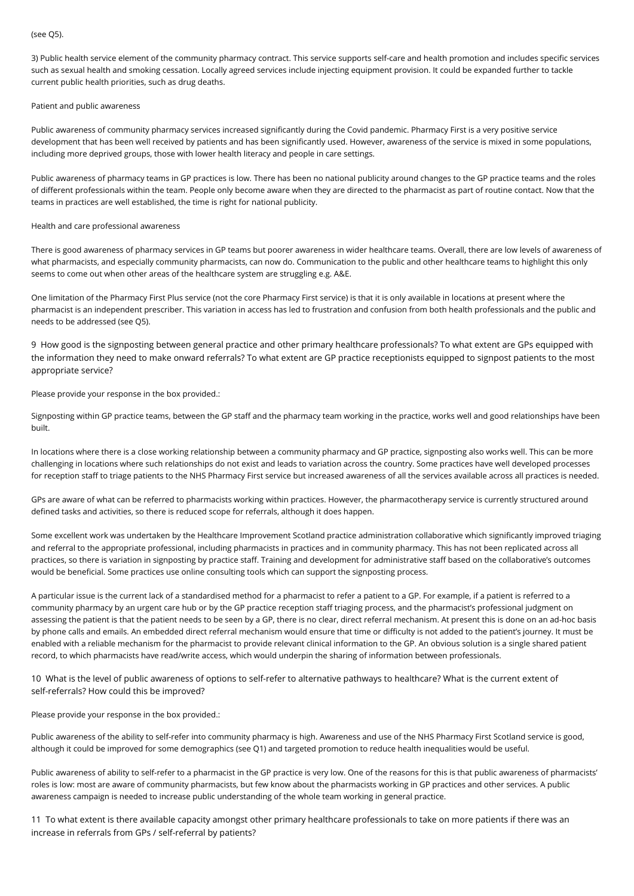#### (see Q5).

3) Public health service element of the community pharmacy contract. This service supports self-care and health promotion and includes specific services such as sexual health and smoking cessation. Locally agreed services include injecting equipment provision. It could be expanded further to tackle current public health priorities, such as drug deaths.

#### Patient and public awareness

Public awareness of community pharmacy services increased significantly during the Covid pandemic. Pharmacy First is a very positive service development that has been well received by patients and has been significantly used. However, awareness of the service is mixed in some populations, including more deprived groups, those with lower health literacy and people in care settings.

Public awareness of pharmacy teams in GP practices is low. There has been no national publicity around changes to the GP practice teams and the roles of different professionals within the team. People only become aware when they are directed to the pharmacist as part of routine contact. Now that the teams in practices are well established, the time is right for national publicity.

#### Health and care professional awareness

There is good awareness of pharmacy services in GP teams but poorer awareness in wider healthcare teams. Overall, there are low levels of awareness of what pharmacists, and especially community pharmacists, can now do. Communication to the public and other healthcare teams to highlight this only seems to come out when other areas of the healthcare system are struggling e.g. A&E.

One limitation of the Pharmacy First Plus service (not the core Pharmacy First service) is that it is only available in locations at present where the pharmacist is an independent prescriber. This variation in access has led to frustration and confusion from both health professionals and the public and needs to be addressed (see Q5).

9 How good is the signposting between general practice and other primary healthcare professionals? To what extent are GPs equipped with the information they need to make onward referrals? To what extent are GP practice receptionists equipped to signpost patients to the most appropriate service?

Please provide your response in the box provided.:

Signposting within GP practice teams, between the GP staff and the pharmacy team working in the practice, works well and good relationships have been built.

In locations where there is a close working relationship between a community pharmacy and GP practice, signposting also works well. This can be more challenging in locations where such relationships do not exist and leads to variation across the country. Some practices have well developed processes for reception staff to triage patients to the NHS Pharmacy First service but increased awareness of all the services available across all practices is needed.

GPs are aware of what can be referred to pharmacists working within practices. However, the pharmacotherapy service is currently structured around defined tasks and activities, so there is reduced scope for referrals, although it does happen.

Some excellent work was undertaken by the Healthcare Improvement Scotland practice administration collaborative which significantly improved triaging and referral to the appropriate professional, including pharmacists in practices and in community pharmacy. This has not been replicated across all practices, so there is variation in signposting by practice staff. Training and development for administrative staff based on the collaborative's outcomes would be beneficial. Some practices use online consulting tools which can support the signposting process.

A particular issue is the current lack of a standardised method for a pharmacist to refer a patient to a GP. For example, if a patient is referred to a community pharmacy by an urgent care hub or by the GP practice reception staff triaging process, and the pharmacist's professional judgment on assessing the patient is that the patient needs to be seen by a GP, there is no clear, direct referral mechanism. At present this is done on an ad-hoc basis by phone calls and emails. An embedded direct referral mechanism would ensure that time or difficulty is not added to the patient's journey. It must be enabled with a reliable mechanism for the pharmacist to provide relevant clinical information to the GP. An obvious solution is a single shared patient record, to which pharmacists have read/write access, which would underpin the sharing of information between professionals.

10 What is the level of public awareness of options to self-refer to alternative pathways to healthcare? What is the current extent of self-referrals? How could this be improved?

Please provide your response in the box provided.:

Public awareness of the ability to self-refer into community pharmacy is high. Awareness and use of the NHS Pharmacy First Scotland service is good, although it could be improved for some demographics (see Q1) and targeted promotion to reduce health inequalities would be useful.

Public awareness of ability to self-refer to a pharmacist in the GP practice is very low. One of the reasons for this is that public awareness of pharmacists' roles is low: most are aware of community pharmacists, but few know about the pharmacists working in GP practices and other services. A public awareness campaign is needed to increase public understanding of the whole team working in general practice.

11 To what extent is there available capacity amongst other primary healthcare professionals to take on more patients if there was an increase in referrals from GPs / self-referral by patients?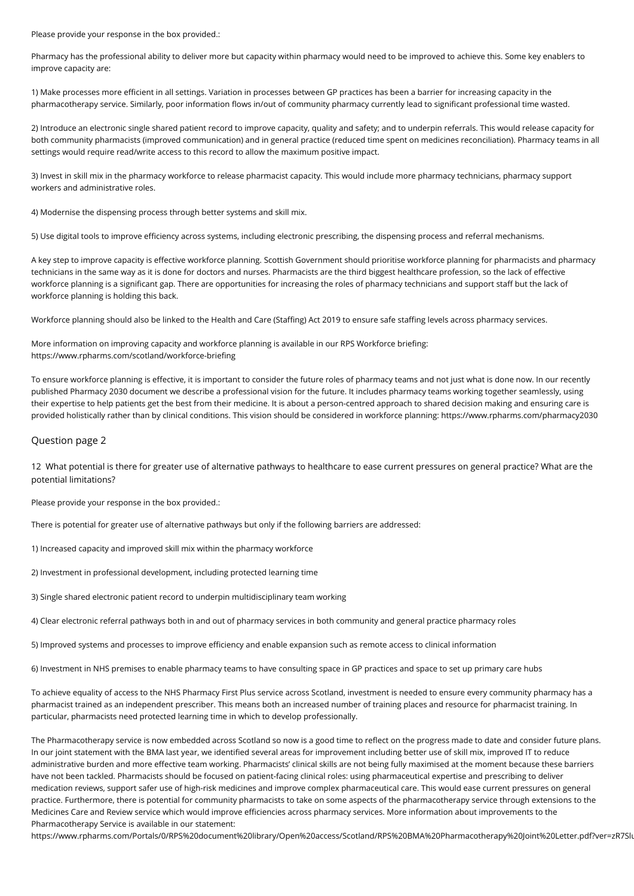Please provide your response in the box provided.:

Pharmacy has the professional ability to deliver more but capacity within pharmacy would need to be improved to achieve this. Some key enablers to improve capacity are:

1) Make processes more efficient in all settings. Variation in processes between GP practices has been a barrier for increasing capacity in the pharmacotherapy service. Similarly, poor information flows in/out of community pharmacy currently lead to significant professional time wasted.

2) Introduce an electronic single shared patient record to improve capacity, quality and safety; and to underpin referrals. This would release capacity for both community pharmacists (improved communication) and in general practice (reduced time spent on medicines reconciliation). Pharmacy teams in all settings would require read/write access to this record to allow the maximum positive impact.

3) Invest in skill mix in the pharmacy workforce to release pharmacist capacity. This would include more pharmacy technicians, pharmacy support workers and administrative roles.

4) Modernise the dispensing process through better systems and skill mix.

5) Use digital tools to improve efficiency across systems, including electronic prescribing, the dispensing process and referral mechanisms.

A key step to improve capacity is effective workforce planning. Scottish Government should prioritise workforce planning for pharmacists and pharmacy technicians in the same way as it is done for doctors and nurses. Pharmacists are the third biggest healthcare profession, so the lack of effective workforce planning is a significant gap. There are opportunities for increasing the roles of pharmacy technicians and support staff but the lack of workforce planning is holding this back.

Workforce planning should also be linked to the Health and Care (Staffing) Act 2019 to ensure safe staffing levels across pharmacy services.

More information on improving capacity and workforce planning is available in our RPS Workforce briefing: https://www.rpharms.com/scotland/workforce-briefing

To ensure workforce planning is effective, it is important to consider the future roles of pharmacy teams and not just what is done now. In our recently published Pharmacy 2030 document we describe a professional vision for the future. It includes pharmacy teams working together seamlessly, using their expertise to help patients get the best from their medicine. It is about a person-centred approach to shared decision making and ensuring care is provided holistically rather than by clinical conditions. This vision should be considered in workforce planning: https://www.rpharms.com/pharmacy2030

### Question page 2

12 What potential is there for greater use of alternative pathways to healthcare to ease current pressures on general practice? What are the potential limitations?

Please provide your response in the box provided.:

There is potential for greater use of alternative pathways but only if the following barriers are addressed:

1) Increased capacity and improved skill mix within the pharmacy workforce

2) Investment in professional development, including protected learning time

3) Single shared electronic patient record to underpin multidisciplinary team working

4) Clear electronic referral pathways both in and out of pharmacy services in both community and general practice pharmacy roles

5) Improved systems and processes to improve efficiency and enable expansion such as remote access to clinical information

6) Investment in NHS premises to enable pharmacy teams to have consulting space in GP practices and space to set up primary care hubs

To achieve equality of access to the NHS Pharmacy First Plus service across Scotland, investment is needed to ensure every community pharmacy has a pharmacist trained as an independent prescriber. This means both an increased number of training places and resource for pharmacist training. In particular, pharmacists need protected learning time in which to develop professionally.

The Pharmacotherapy service is now embedded across Scotland so now is a good time to reflect on the progress made to date and consider future plans. In our joint statement with the BMA last year, we identified several areas for improvement including better use of skill mix, improved IT to reduce administrative burden and more effective team working. Pharmacists' clinical skills are not being fully maximised at the moment because these barriers have not been tackled. Pharmacists should be focused on patient-facing clinical roles: using pharmaceutical expertise and prescribing to deliver medication reviews, support safer use of high-risk medicines and improve complex pharmaceutical care. This would ease current pressures on general practice. Furthermore, there is potential for community pharmacists to take on some aspects of the pharmacotherapy service through extensions to the Medicines Care and Review service which would improve efficiencies across pharmacy services. More information about improvements to the Pharmacotherapy Service is available in our statement:

https://www.rpharms.com/Portals/0/RPS%20document%20library/Open%20access/Scotland/RPS%20BMA%20Pharmacotherapy%20Joint%20Letter.pdf?ver=zR7Slu